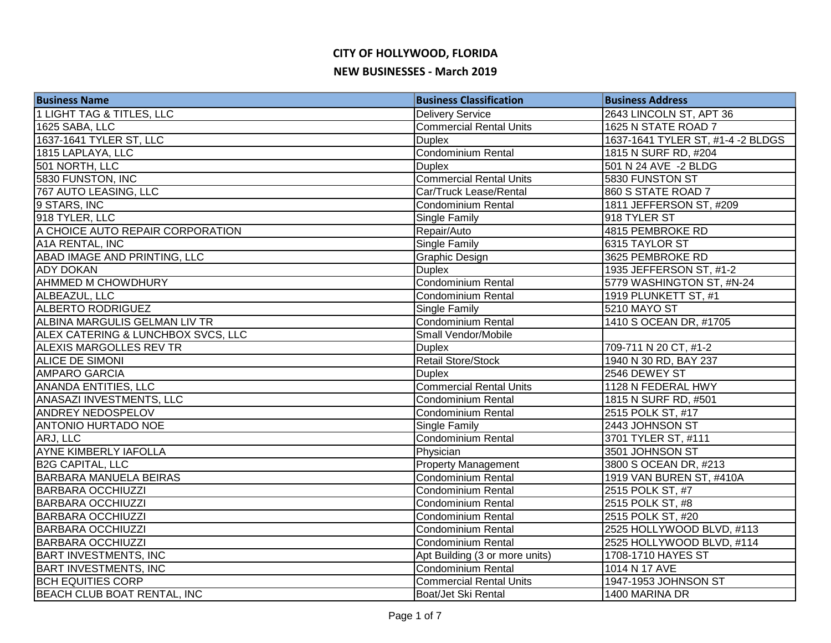| <b>Business Name</b>                 | <b>Business Classification</b> | <b>Business Address</b>           |
|--------------------------------------|--------------------------------|-----------------------------------|
| <b>1 LIGHT TAG &amp; TITLES, LLC</b> | <b>Delivery Service</b>        | 2643 LINCOLN ST, APT 36           |
| 1625 SABA, LLC                       | <b>Commercial Rental Units</b> | 1625 N STATE ROAD 7               |
| 1637-1641 TYLER ST, LLC              | <b>Duplex</b>                  | 1637-1641 TYLER ST, #1-4 -2 BLDGS |
| 1815 LAPLAYA, LLC                    | Condominium Rental             | 1815 N SURF RD, #204              |
| 501 NORTH, LLC                       | <b>Duplex</b>                  | 501 N 24 AVE -2 BLDG              |
| 5830 FUNSTON, INC                    | <b>Commercial Rental Units</b> | 5830 FUNSTON ST                   |
| 767 AUTO LEASING, LLC                | Car/Truck Lease/Rental         | 860 S STATE ROAD 7                |
| 9 STARS, INC                         | <b>Condominium Rental</b>      | 1811 JEFFERSON ST, #209           |
| 918 TYLER, LLC                       | Single Family                  | 918 TYLER ST                      |
| A CHOICE AUTO REPAIR CORPORATION     | Repair/Auto                    | 4815 PEMBROKE RD                  |
| A1A RENTAL, INC                      | Single Family                  | 6315 TAYLOR ST                    |
| ABAD IMAGE AND PRINTING, LLC         | <b>Graphic Design</b>          | 3625 PEMBROKE RD                  |
| <b>ADY DOKAN</b>                     | <b>Duplex</b>                  | 1935 JEFFERSON ST, #1-2           |
| AHMMED M CHOWDHURY                   | Condominium Rental             | 5779 WASHINGTON ST, #N-24         |
| ALBEAZUL, LLC                        | Condominium Rental             | 1919 PLUNKETT ST, #1              |
| <b>ALBERTO RODRIGUEZ</b>             | Single Family                  | 5210 MAYO ST                      |
| ALBINA MARGULIS GELMAN LIV TR        | Condominium Rental             | 1410 S OCEAN DR, #1705            |
| ALEX CATERING & LUNCHBOX SVCS, LLC   | Small Vendor/Mobile            |                                   |
| <b>ALEXIS MARGOLLES REV TR</b>       | <b>Duplex</b>                  | 709-711 N 20 CT, #1-2             |
| ALICE DE SIMONI                      | Retail Store/Stock             | 1940 N 30 RD, BAY 237             |
| <b>AMPARO GARCIA</b>                 | <b>Duplex</b>                  | 2546 DEWEY ST                     |
| <b>ANANDA ENTITIES, LLC</b>          | Commercial Rental Units        | 1128 N FEDERAL HWY                |
| ANASAZI INVESTMENTS, LLC             | <b>Condominium Rental</b>      | 1815 N SURF RD, #501              |
| <b>ANDREY NEDOSPELOV</b>             | <b>Condominium Rental</b>      | 2515 POLK ST, #17                 |
| <b>ANTONIO HURTADO NOE</b>           | Single Family                  | 2443 JOHNSON ST                   |
| ARJ, LLC                             | Condominium Rental             | 3701 TYLER ST, #111               |
| <b>AYNE KIMBERLY IAFOLLA</b>         | Physician                      | 3501 JOHNSON ST                   |
| <b>B2G CAPITAL, LLC</b>              | <b>Property Management</b>     | 3800 S OCEAN DR, #213             |
| <b>BARBARA MANUELA BEIRAS</b>        | Condominium Rental             | 1919 VAN BUREN ST, #410A          |
| <b>BARBARA OCCHIUZZI</b>             | Condominium Rental             | 2515 POLK ST, #7                  |
| <b>BARBARA OCCHIUZZI</b>             | <b>Condominium Rental</b>      | 2515 POLK ST, #8                  |
| <b>BARBARA OCCHIUZZI</b>             | <b>Condominium Rental</b>      | 2515 POLK ST, #20                 |
| <b>BARBARA OCCHIUZZI</b>             | <b>Condominium Rental</b>      | 2525 HOLLYWOOD BLVD, #113         |
| <b>BARBARA OCCHIUZZI</b>             | <b>Condominium Rental</b>      | 2525 HOLLYWOOD BLVD, #114         |
| <b>BART INVESTMENTS, INC</b>         | Apt Building (3 or more units) | 1708-1710 HAYES ST                |
| <b>BART INVESTMENTS, INC</b>         | Condominium Rental             | 1014 N 17 AVE                     |
| <b>BCH EQUITIES CORP</b>             | <b>Commercial Rental Units</b> | 1947-1953 JOHNSON ST              |
| BEACH CLUB BOAT RENTAL, INC          | Boat/Jet Ski Rental            | 1400 MARINA DR                    |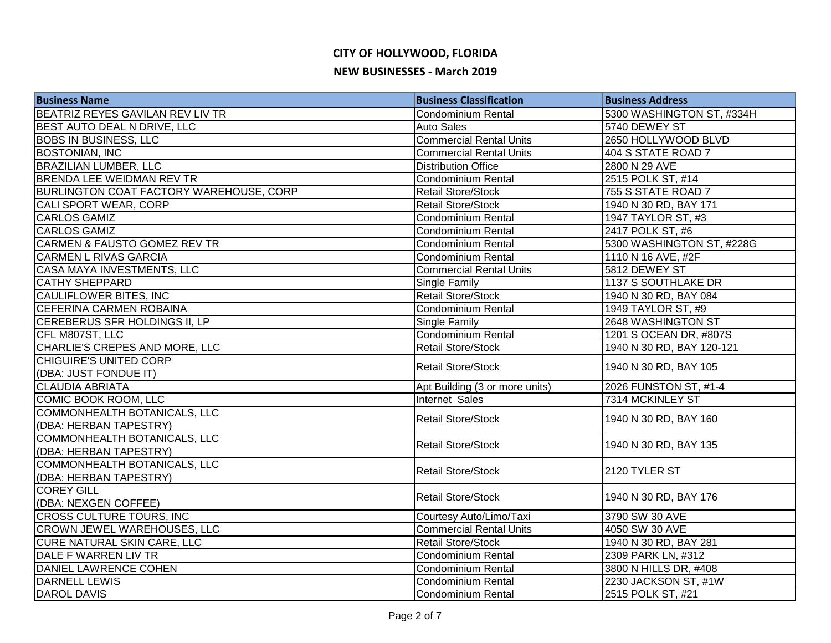| <b>Business Name</b>                    | <b>Business Classification</b> | <b>Business Address</b>   |
|-----------------------------------------|--------------------------------|---------------------------|
| BEATRIZ REYES GAVILAN REV LIV TR        | <b>Condominium Rental</b>      | 5300 WASHINGTON ST, #334H |
| BEST AUTO DEAL N DRIVE, LLC             | <b>Auto Sales</b>              | 5740 DEWEY ST             |
| <b>BOBS IN BUSINESS, LLC</b>            | <b>Commercial Rental Units</b> | 2650 HOLLYWOOD BLVD       |
| <b>BOSTONIAN, INC</b>                   | <b>Commercial Rental Units</b> | 404 S STATE ROAD 7        |
| <b>BRAZILIAN LUMBER, LLC</b>            | <b>Distribution Office</b>     | 2800 N 29 AVE             |
| <b>BRENDA LEE WEIDMAN REV TR</b>        | Condominium Rental             | 2515 POLK ST, #14         |
| BURLINGTON COAT FACTORY WAREHOUSE, CORP | <b>Retail Store/Stock</b>      | 755 S STATE ROAD 7        |
| <b>CALI SPORT WEAR, CORP</b>            | <b>Retail Store/Stock</b>      | 1940 N 30 RD, BAY 171     |
| <b>CARLOS GAMIZ</b>                     | Condominium Rental             | 1947 TAYLOR ST, #3        |
| <b>CARLOS GAMIZ</b>                     | <b>Condominium Rental</b>      | 2417 POLK ST, #6          |
| <b>CARMEN &amp; FAUSTO GOMEZ REV TR</b> | <b>Condominium Rental</b>      | 5300 WASHINGTON ST, #228G |
| <b>CARMEN L RIVAS GARCIA</b>            | <b>Condominium Rental</b>      | 1110 N 16 AVE, #2F        |
| CASA MAYA INVESTMENTS, LLC              | <b>Commercial Rental Units</b> | 5812 DEWEY ST             |
| <b>CATHY SHEPPARD</b>                   | Single Family                  | 1137 S SOUTHLAKE DR       |
| CAULIFLOWER BITES, INC                  | <b>Retail Store/Stock</b>      | 1940 N 30 RD, BAY 084     |
| CEFERINA CARMEN ROBAINA                 | Condominium Rental             | 1949 TAYLOR ST, #9        |
| CEREBERUS SFR HOLDINGS II, LP           | <b>Single Family</b>           | 2648 WASHINGTON ST        |
| CFL M807ST, LLC                         | Condominium Rental             | 1201 S OCEAN DR, #807S    |
| CHARLIE'S CREPES AND MORE, LLC          | <b>Retail Store/Stock</b>      | 1940 N 30 RD, BAY 120-121 |
| <b>CHIGUIRE'S UNITED CORP</b>           | <b>Retail Store/Stock</b>      | 1940 N 30 RD, BAY 105     |
| (DBA: JUST FONDUE IT)                   |                                |                           |
| <b>CLAUDIA ABRIATA</b>                  | Apt Building (3 or more units) | 2026 FUNSTON ST, #1-4     |
| COMIC BOOK ROOM, LLC                    | Internet Sales                 | 7314 MCKINLEY ST          |
| COMMONHEALTH BOTANICALS, LLC            | <b>Retail Store/Stock</b>      | 1940 N 30 RD, BAY 160     |
| (DBA: HERBAN TAPESTRY)                  |                                |                           |
| COMMONHEALTH BOTANICALS, LLC            | <b>Retail Store/Stock</b>      | 1940 N 30 RD, BAY 135     |
| (DBA: HERBAN TAPESTRY)                  |                                |                           |
| COMMONHEALTH BOTANICALS, LLC            | <b>Retail Store/Stock</b>      | 2120 TYLER ST             |
| (DBA: HERBAN TAPESTRY)                  |                                |                           |
| <b>COREY GILL</b>                       | Retail Store/Stock             | 1940 N 30 RD, BAY 176     |
| (DBA: NEXGEN COFFEE)                    |                                |                           |
| <b>CROSS CULTURE TOURS, INC</b>         | Courtesy Auto/Limo/Taxi        | 3790 SW 30 AVE            |
| <b>CROWN JEWEL WAREHOUSES, LLC</b>      | <b>Commercial Rental Units</b> | 4050 SW 30 AVE            |
| <b>CURE NATURAL SKIN CARE, LLC</b>      | <b>Retail Store/Stock</b>      | 1940 N 30 RD, BAY 281     |
| DALE F WARREN LIV TR                    | <b>Condominium Rental</b>      | 2309 PARK LN, #312        |
| DANIEL LAWRENCE COHEN                   | Condominium Rental             | 3800 N HILLS DR, #408     |
| DARNELL LEWIS                           | Condominium Rental             | 2230 JACKSON ST, #1W      |
| <b>DAROL DAVIS</b>                      | <b>Condominium Rental</b>      | 2515 POLK ST, #21         |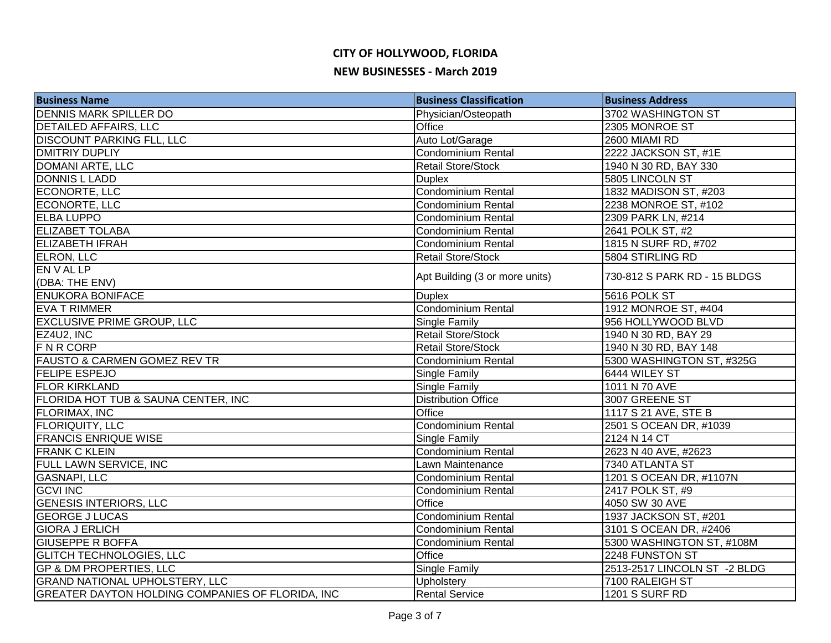| <b>Business Name</b>                             | <b>Business Classification</b> | <b>Business Address</b>      |
|--------------------------------------------------|--------------------------------|------------------------------|
| <b>DENNIS MARK SPILLER DO</b>                    | Physician/Osteopath            | 3702 WASHINGTON ST           |
| <b>DETAILED AFFAIRS, LLC</b>                     | Office                         | 2305 MONROE ST               |
| <b>DISCOUNT PARKING FLL, LLC</b>                 | Auto Lot/Garage                | 2600 MIAMI RD                |
| <b>DMITRIY DUPLIY</b>                            | Condominium Rental             | 2222 JACKSON ST, #1E         |
| <b>DOMANI ARTE, LLC</b>                          | <b>Retail Store/Stock</b>      | 1940 N 30 RD, BAY 330        |
| <b>DONNIS L LADD</b>                             | <b>Duplex</b>                  | 5805 LINCOLN ST              |
| ECONORTE, LLC                                    | <b>Condominium Rental</b>      | 1832 MADISON ST, #203        |
| ECONORTE, LLC                                    | Condominium Rental             | 2238 MONROE ST, #102         |
| <b>ELBA LUPPO</b>                                | <b>Condominium Rental</b>      | 2309 PARK LN, #214           |
| <b>ELIZABET TOLABA</b>                           | Condominium Rental             | 2641 POLK ST, #2             |
| <b>ELIZABETH IFRAH</b>                           | <b>Condominium Rental</b>      | 1815 N SURF RD, #702         |
| <b>ELRON, LLC</b>                                | <b>Retail Store/Stock</b>      | 5804 STIRLING RD             |
| EN V AL LP                                       | Apt Building (3 or more units) | 730-812 S PARK RD - 15 BLDGS |
| (DBA: THE ENV)                                   |                                |                              |
| <b>ENUKORA BONIFACE</b>                          | <b>Duplex</b>                  | 5616 POLK ST                 |
| <b>EVA T RIMMER</b>                              | Condominium Rental             | 1912 MONROE ST, #404         |
| <b>EXCLUSIVE PRIME GROUP, LLC</b>                | Single Family                  | 956 HOLLYWOOD BLVD           |
| EZ4U2, INC                                       | <b>Retail Store/Stock</b>      | 1940 N 30 RD, BAY 29         |
| <b>FNRCORP</b>                                   | <b>Retail Store/Stock</b>      | 1940 N 30 RD, BAY 148        |
| <b>FAUSTO &amp; CARMEN GOMEZ REV TR</b>          | Condominium Rental             | 5300 WASHINGTON ST, #325G    |
| <b>FELIPE ESPEJO</b>                             | Single Family                  | 6444 WILEY ST                |
| <b>FLOR KIRKLAND</b>                             | Single Family                  | 1011 N 70 AVE                |
| FLORIDA HOT TUB & SAUNA CENTER, INC              | <b>Distribution Office</b>     | 3007 GREENE ST               |
| <b>FLORIMAX, INC</b>                             | <b>Office</b>                  | 1117 S 21 AVE, STE B         |
| <b>FLORIQUITY, LLC</b>                           | <b>Condominium Rental</b>      | 2501 S OCEAN DR, #1039       |
| <b>FRANCIS ENRIQUE WISE</b>                      | Single Family                  | 2124 N 14 CT                 |
| <b>FRANK C KLEIN</b>                             | Condominium Rental             | 2623 N 40 AVE, #2623         |
| FULL LAWN SERVICE, INC                           | Lawn Maintenance               | 7340 ATLANTA ST              |
| <b>GASNAPI, LLC</b>                              | <b>Condominium Rental</b>      | 1201 S OCEAN DR, #1107N      |
| <b>GCVI INC</b>                                  | Condominium Rental             | 2417 POLK ST, #9             |
| <b>GENESIS INTERIORS, LLC</b>                    | Office                         | 4050 SW 30 AVE               |
| <b>GEORGE J LUCAS</b>                            | <b>Condominium Rental</b>      | 1937 JACKSON ST, #201        |
| <b>GIORA J ERLICH</b>                            | <b>Condominium Rental</b>      | 3101 S OCEAN DR, #2406       |
| <b>GIUSEPPE R BOFFA</b>                          | <b>Condominium Rental</b>      | 5300 WASHINGTON ST, #108M    |
| <b>GLITCH TECHNOLOGIES, LLC</b>                  | Office                         | 2248 FUNSTON ST              |
| <b>GP &amp; DM PROPERTIES, LLC</b>               | Single Family                  | 2513-2517 LINCOLN ST -2 BLDG |
| <b>GRAND NATIONAL UPHOLSTERY, LLC</b>            | Upholstery                     | 7100 RALEIGH ST              |
| GREATER DAYTON HOLDING COMPANIES OF FLORIDA, INC | <b>Rental Service</b>          | <b>1201 S SURF RD</b>        |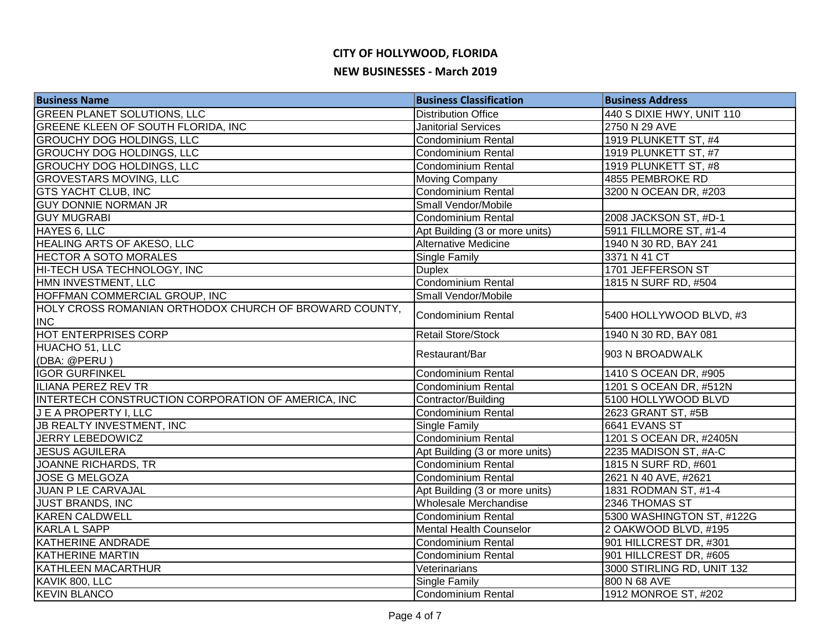| <b>Business Name</b>                                   | <b>Business Classification</b> | <b>Business Address</b>    |
|--------------------------------------------------------|--------------------------------|----------------------------|
| <b>GREEN PLANET SOLUTIONS, LLC</b>                     | <b>Distribution Office</b>     | 440 S DIXIE HWY, UNIT 110  |
| <b>GREENE KLEEN OF SOUTH FLORIDA, INC</b>              | <b>Janitorial Services</b>     | 2750 N 29 AVE              |
| <b>GROUCHY DOG HOLDINGS, LLC</b>                       | <b>Condominium Rental</b>      | 1919 PLUNKETT ST, #4       |
| <b>GROUCHY DOG HOLDINGS, LLC</b>                       | <b>Condominium Rental</b>      | 1919 PLUNKETT ST, #7       |
| <b>GROUCHY DOG HOLDINGS, LLC</b>                       | Condominium Rental             | 1919 PLUNKETT ST, #8       |
| <b>GROVESTARS MOVING, LLC</b>                          | Moving Company                 | 4855 PEMBROKE RD           |
| <b>GTS YACHT CLUB, INC</b>                             | Condominium Rental             | 3200 N OCEAN DR, #203      |
| <b>GUY DONNIE NORMAN JR</b>                            | Small Vendor/Mobile            |                            |
| <b>GUY MUGRABI</b>                                     | Condominium Rental             | 2008 JACKSON ST, #D-1      |
| HAYES 6, LLC                                           | Apt Building (3 or more units) | 5911 FILLMORE ST, #1-4     |
| <b>HEALING ARTS OF AKESO, LLC</b>                      | <b>Alternative Medicine</b>    | 1940 N 30 RD, BAY 241      |
| <b>HECTOR A SOTO MORALES</b>                           | Single Family                  | 3371 N 41 CT               |
| HI-TECH USA TECHNOLOGY, INC                            | <b>Duplex</b>                  | 1701 JEFFERSON ST          |
| HMN INVESTMENT, LLC                                    | Condominium Rental             | 1815 N SURF RD, #504       |
| HOFFMAN COMMERCIAL GROUP, INC                          | Small Vendor/Mobile            |                            |
| HOLY CROSS ROMANIAN ORTHODOX CHURCH OF BROWARD COUNTY, | <b>Condominium Rental</b>      | 5400 HOLLYWOOD BLVD, #3    |
| <b>INC</b>                                             |                                |                            |
| <b>HOT ENTERPRISES CORP</b>                            | <b>Retail Store/Stock</b>      | 1940 N 30 RD, BAY 081      |
| HUACHO 51, LLC                                         | Restaurant/Bar                 | 903 N BROADWALK            |
| (DBA: @PERU)                                           |                                |                            |
| <b>IGOR GURFINKEL</b>                                  | Condominium Rental             | 1410 S OCEAN DR, #905      |
| ILIANA PEREZ REV TR                                    | Condominium Rental             | 1201 S OCEAN DR, #512N     |
| INTERTECH CONSTRUCTION CORPORATION OF AMERICA, INC     | Contractor/Building            | 5100 HOLLYWOOD BLVD        |
| <b>JEAPROPERTY I, LLC</b>                              | <b>Condominium Rental</b>      | 2623 GRANT ST, #5B         |
| <b>JB REALTY INVESTMENT, INC</b>                       | Single Family                  | 6641 EVANS ST              |
| <b>JERRY LEBEDOWICZ</b>                                | Condominium Rental             | 1201 S OCEAN DR, #2405N    |
| <b>JESUS AGUILERA</b>                                  | Apt Building (3 or more units) | 2235 MADISON ST, #A-C      |
| JOANNE RICHARDS, TR                                    | <b>Condominium Rental</b>      | 1815 N SURF RD, #601       |
| <b>JOSE G MELGOZA</b>                                  | Condominium Rental             | 2621 N 40 AVE, #2621       |
| JUAN P LE CARVAJAL                                     | Apt Building (3 or more units) | 1831 RODMAN ST, #1-4       |
| <b>JUST BRANDS, INC</b>                                | Wholesale Merchandise          | 2346 THOMAS ST             |
| <b>KAREN CALDWELL</b>                                  | <b>Condominium Rental</b>      | 5300 WASHINGTON ST, #122G  |
| KARLA L SAPP                                           | Mental Health Counselor        | 2 OAKWOOD BLVD, #195       |
| KATHERINE ANDRADE                                      | Condominium Rental             | 901 HILLCREST DR, #301     |
| <b>KATHERINE MARTIN</b>                                | Condominium Rental             | 901 HILLCREST DR, #605     |
| KATHLEEN MACARTHUR                                     | Veterinarians                  | 3000 STIRLING RD, UNIT 132 |
| KAVIK 800, LLC                                         | <b>Single Family</b>           | 800 N 68 AVE               |
| <b>KEVIN BLANCO</b>                                    | <b>Condominium Rental</b>      | 1912 MONROE ST, #202       |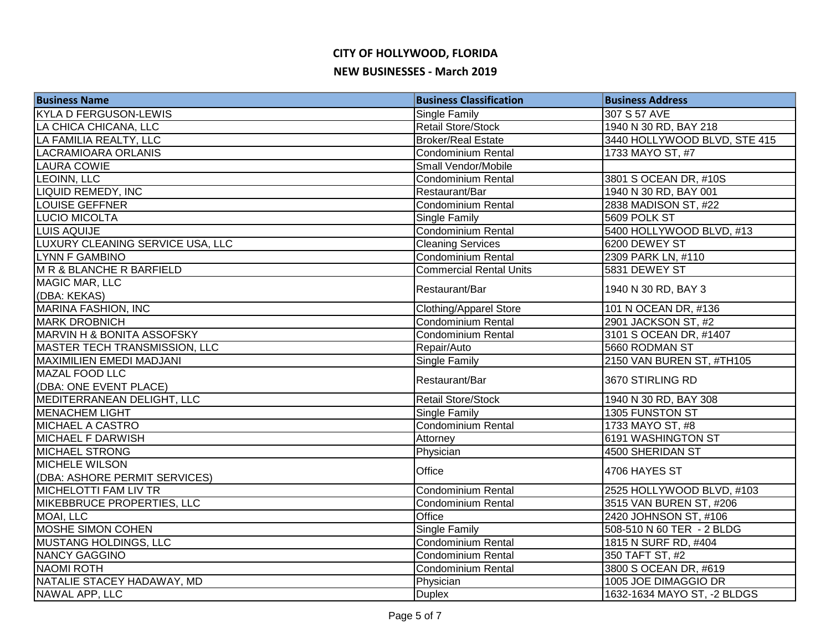| Single Family<br>307 S 57 AVE<br><b>Retail Store/Stock</b><br>1940 N 30 RD, BAY 218<br>3440 HOLLYWOOD BLVD, STE 415<br><b>Broker/Real Estate</b><br>1733 MAYO ST, #7<br><b>Condominium Rental</b><br>LAURA COWIE<br>Small Vendor/Mobile<br>3801 S OCEAN DR, #10S<br>Condominium Rental<br>1940 N 30 RD, BAY 001<br>Restaurant/Bar<br>2838 MADISON ST, #22<br><b>Condominium Rental</b><br>Single Family<br>5609 POLK ST<br>Condominium Rental<br>5400 HOLLYWOOD BLVD, #13<br>6200 DEWEY ST<br><b>Cleaning Services</b><br>Condominium Rental<br>2309 PARK LN, #110<br>5831 DEWEY ST<br><b>Commercial Rental Units</b><br>1940 N 30 RD, BAY 3<br>Restaurant/Bar<br>(DBA: KEKAS)<br><b>Clothing/Apparel Store</b><br>101 N OCEAN DR, #136<br>Condominium Rental<br>2901 JACKSON ST, #2<br>Condominium Rental<br>3101 S OCEAN DR, #1407<br>5660 RODMAN ST<br>Repair/Auto<br>Single Family<br>2150 VAN BUREN ST, #TH105<br>Restaurant/Bar<br>3670 STIRLING RD<br>(DBA: ONE EVENT PLACE)<br><b>Retail Store/Stock</b><br>1940 N 30 RD, BAY 308<br>Single Family<br>1305 FUNSTON ST<br>1733 MAYO ST, #8<br>Condominium Rental<br>6191 WASHINGTON ST<br>Attorney<br>Physician<br>4500 SHERIDAN ST<br>Office<br>4706 HAYES ST<br><b>Condominium Rental</b><br>2525 HOLLYWOOD BLVD, #103<br>3515 VAN BUREN ST, #206<br><b>Condominium Rental</b><br>Office<br>2420 JOHNSON ST, #106<br><b>Single Family</b><br>508-510 N 60 TER - 2 BLDG<br>Condominium Rental<br>1815 N SURF RD, #404<br>350 TAFT ST, #2<br>Condominium Rental<br><b>Condominium Rental</b><br>3800 S OCEAN DR, #619<br>Physician<br>1005 JOE DIMAGGIO DR<br>1632-1634 MAYO ST, -2 BLDGS<br><b>Duplex</b> | <b>Business Name</b>             | <b>Business Classification</b> | <b>Business Address</b> |
|-------------------------------------------------------------------------------------------------------------------------------------------------------------------------------------------------------------------------------------------------------------------------------------------------------------------------------------------------------------------------------------------------------------------------------------------------------------------------------------------------------------------------------------------------------------------------------------------------------------------------------------------------------------------------------------------------------------------------------------------------------------------------------------------------------------------------------------------------------------------------------------------------------------------------------------------------------------------------------------------------------------------------------------------------------------------------------------------------------------------------------------------------------------------------------------------------------------------------------------------------------------------------------------------------------------------------------------------------------------------------------------------------------------------------------------------------------------------------------------------------------------------------------------------------------------------------------------------------------------------------------------------------------------------|----------------------------------|--------------------------------|-------------------------|
|                                                                                                                                                                                                                                                                                                                                                                                                                                                                                                                                                                                                                                                                                                                                                                                                                                                                                                                                                                                                                                                                                                                                                                                                                                                                                                                                                                                                                                                                                                                                                                                                                                                                   | <b>KYLA D FERGUSON-LEWIS</b>     |                                |                         |
|                                                                                                                                                                                                                                                                                                                                                                                                                                                                                                                                                                                                                                                                                                                                                                                                                                                                                                                                                                                                                                                                                                                                                                                                                                                                                                                                                                                                                                                                                                                                                                                                                                                                   | LA CHICA CHICANA, LLC            |                                |                         |
|                                                                                                                                                                                                                                                                                                                                                                                                                                                                                                                                                                                                                                                                                                                                                                                                                                                                                                                                                                                                                                                                                                                                                                                                                                                                                                                                                                                                                                                                                                                                                                                                                                                                   | LA FAMILIA REALTY, LLC           |                                |                         |
|                                                                                                                                                                                                                                                                                                                                                                                                                                                                                                                                                                                                                                                                                                                                                                                                                                                                                                                                                                                                                                                                                                                                                                                                                                                                                                                                                                                                                                                                                                                                                                                                                                                                   | <b>LACRAMIOARA ORLANIS</b>       |                                |                         |
|                                                                                                                                                                                                                                                                                                                                                                                                                                                                                                                                                                                                                                                                                                                                                                                                                                                                                                                                                                                                                                                                                                                                                                                                                                                                                                                                                                                                                                                                                                                                                                                                                                                                   |                                  |                                |                         |
|                                                                                                                                                                                                                                                                                                                                                                                                                                                                                                                                                                                                                                                                                                                                                                                                                                                                                                                                                                                                                                                                                                                                                                                                                                                                                                                                                                                                                                                                                                                                                                                                                                                                   | <b>LEOINN, LLC</b>               |                                |                         |
|                                                                                                                                                                                                                                                                                                                                                                                                                                                                                                                                                                                                                                                                                                                                                                                                                                                                                                                                                                                                                                                                                                                                                                                                                                                                                                                                                                                                                                                                                                                                                                                                                                                                   | <b>LIQUID REMEDY, INC</b>        |                                |                         |
|                                                                                                                                                                                                                                                                                                                                                                                                                                                                                                                                                                                                                                                                                                                                                                                                                                                                                                                                                                                                                                                                                                                                                                                                                                                                                                                                                                                                                                                                                                                                                                                                                                                                   | <b>LOUISE GEFFNER</b>            |                                |                         |
|                                                                                                                                                                                                                                                                                                                                                                                                                                                                                                                                                                                                                                                                                                                                                                                                                                                                                                                                                                                                                                                                                                                                                                                                                                                                                                                                                                                                                                                                                                                                                                                                                                                                   | LUCIO MICOLTA                    |                                |                         |
|                                                                                                                                                                                                                                                                                                                                                                                                                                                                                                                                                                                                                                                                                                                                                                                                                                                                                                                                                                                                                                                                                                                                                                                                                                                                                                                                                                                                                                                                                                                                                                                                                                                                   | <b>LUIS AQUIJE</b>               |                                |                         |
|                                                                                                                                                                                                                                                                                                                                                                                                                                                                                                                                                                                                                                                                                                                                                                                                                                                                                                                                                                                                                                                                                                                                                                                                                                                                                                                                                                                                                                                                                                                                                                                                                                                                   | LUXURY CLEANING SERVICE USA, LLC |                                |                         |
|                                                                                                                                                                                                                                                                                                                                                                                                                                                                                                                                                                                                                                                                                                                                                                                                                                                                                                                                                                                                                                                                                                                                                                                                                                                                                                                                                                                                                                                                                                                                                                                                                                                                   | <b>LYNN F GAMBINO</b>            |                                |                         |
|                                                                                                                                                                                                                                                                                                                                                                                                                                                                                                                                                                                                                                                                                                                                                                                                                                                                                                                                                                                                                                                                                                                                                                                                                                                                                                                                                                                                                                                                                                                                                                                                                                                                   | M R & BLANCHE R BARFIELD         |                                |                         |
|                                                                                                                                                                                                                                                                                                                                                                                                                                                                                                                                                                                                                                                                                                                                                                                                                                                                                                                                                                                                                                                                                                                                                                                                                                                                                                                                                                                                                                                                                                                                                                                                                                                                   | MAGIC MAR, LLC                   |                                |                         |
|                                                                                                                                                                                                                                                                                                                                                                                                                                                                                                                                                                                                                                                                                                                                                                                                                                                                                                                                                                                                                                                                                                                                                                                                                                                                                                                                                                                                                                                                                                                                                                                                                                                                   |                                  |                                |                         |
|                                                                                                                                                                                                                                                                                                                                                                                                                                                                                                                                                                                                                                                                                                                                                                                                                                                                                                                                                                                                                                                                                                                                                                                                                                                                                                                                                                                                                                                                                                                                                                                                                                                                   | <b>MARINA FASHION, INC</b>       |                                |                         |
|                                                                                                                                                                                                                                                                                                                                                                                                                                                                                                                                                                                                                                                                                                                                                                                                                                                                                                                                                                                                                                                                                                                                                                                                                                                                                                                                                                                                                                                                                                                                                                                                                                                                   | <b>MARK DROBNICH</b>             |                                |                         |
|                                                                                                                                                                                                                                                                                                                                                                                                                                                                                                                                                                                                                                                                                                                                                                                                                                                                                                                                                                                                                                                                                                                                                                                                                                                                                                                                                                                                                                                                                                                                                                                                                                                                   | MARVIN H & BONITA ASSOFSKY       |                                |                         |
|                                                                                                                                                                                                                                                                                                                                                                                                                                                                                                                                                                                                                                                                                                                                                                                                                                                                                                                                                                                                                                                                                                                                                                                                                                                                                                                                                                                                                                                                                                                                                                                                                                                                   | MASTER TECH TRANSMISSION, LLC    |                                |                         |
|                                                                                                                                                                                                                                                                                                                                                                                                                                                                                                                                                                                                                                                                                                                                                                                                                                                                                                                                                                                                                                                                                                                                                                                                                                                                                                                                                                                                                                                                                                                                                                                                                                                                   | MAXIMILIEN EMEDI MADJANI         |                                |                         |
|                                                                                                                                                                                                                                                                                                                                                                                                                                                                                                                                                                                                                                                                                                                                                                                                                                                                                                                                                                                                                                                                                                                                                                                                                                                                                                                                                                                                                                                                                                                                                                                                                                                                   | MAZAL FOOD LLC                   |                                |                         |
|                                                                                                                                                                                                                                                                                                                                                                                                                                                                                                                                                                                                                                                                                                                                                                                                                                                                                                                                                                                                                                                                                                                                                                                                                                                                                                                                                                                                                                                                                                                                                                                                                                                                   |                                  |                                |                         |
|                                                                                                                                                                                                                                                                                                                                                                                                                                                                                                                                                                                                                                                                                                                                                                                                                                                                                                                                                                                                                                                                                                                                                                                                                                                                                                                                                                                                                                                                                                                                                                                                                                                                   | MEDITERRANEAN DELIGHT, LLC       |                                |                         |
|                                                                                                                                                                                                                                                                                                                                                                                                                                                                                                                                                                                                                                                                                                                                                                                                                                                                                                                                                                                                                                                                                                                                                                                                                                                                                                                                                                                                                                                                                                                                                                                                                                                                   | <b>MENACHEM LIGHT</b>            |                                |                         |
|                                                                                                                                                                                                                                                                                                                                                                                                                                                                                                                                                                                                                                                                                                                                                                                                                                                                                                                                                                                                                                                                                                                                                                                                                                                                                                                                                                                                                                                                                                                                                                                                                                                                   | <b>MICHAEL A CASTRO</b>          |                                |                         |
|                                                                                                                                                                                                                                                                                                                                                                                                                                                                                                                                                                                                                                                                                                                                                                                                                                                                                                                                                                                                                                                                                                                                                                                                                                                                                                                                                                                                                                                                                                                                                                                                                                                                   | <b>MICHAEL F DARWISH</b>         |                                |                         |
|                                                                                                                                                                                                                                                                                                                                                                                                                                                                                                                                                                                                                                                                                                                                                                                                                                                                                                                                                                                                                                                                                                                                                                                                                                                                                                                                                                                                                                                                                                                                                                                                                                                                   | <b>MICHAEL STRONG</b>            |                                |                         |
|                                                                                                                                                                                                                                                                                                                                                                                                                                                                                                                                                                                                                                                                                                                                                                                                                                                                                                                                                                                                                                                                                                                                                                                                                                                                                                                                                                                                                                                                                                                                                                                                                                                                   | <b>MICHELE WILSON</b>            |                                |                         |
|                                                                                                                                                                                                                                                                                                                                                                                                                                                                                                                                                                                                                                                                                                                                                                                                                                                                                                                                                                                                                                                                                                                                                                                                                                                                                                                                                                                                                                                                                                                                                                                                                                                                   | (DBA: ASHORE PERMIT SERVICES)    |                                |                         |
|                                                                                                                                                                                                                                                                                                                                                                                                                                                                                                                                                                                                                                                                                                                                                                                                                                                                                                                                                                                                                                                                                                                                                                                                                                                                                                                                                                                                                                                                                                                                                                                                                                                                   | <b>MICHELOTTI FAM LIV TR</b>     |                                |                         |
|                                                                                                                                                                                                                                                                                                                                                                                                                                                                                                                                                                                                                                                                                                                                                                                                                                                                                                                                                                                                                                                                                                                                                                                                                                                                                                                                                                                                                                                                                                                                                                                                                                                                   | MIKEBBRUCE PROPERTIES, LLC       |                                |                         |
|                                                                                                                                                                                                                                                                                                                                                                                                                                                                                                                                                                                                                                                                                                                                                                                                                                                                                                                                                                                                                                                                                                                                                                                                                                                                                                                                                                                                                                                                                                                                                                                                                                                                   | MOAI, LLC                        |                                |                         |
|                                                                                                                                                                                                                                                                                                                                                                                                                                                                                                                                                                                                                                                                                                                                                                                                                                                                                                                                                                                                                                                                                                                                                                                                                                                                                                                                                                                                                                                                                                                                                                                                                                                                   | <b>MOSHE SIMON COHEN</b>         |                                |                         |
|                                                                                                                                                                                                                                                                                                                                                                                                                                                                                                                                                                                                                                                                                                                                                                                                                                                                                                                                                                                                                                                                                                                                                                                                                                                                                                                                                                                                                                                                                                                                                                                                                                                                   | <b>MUSTANG HOLDINGS, LLC</b>     |                                |                         |
|                                                                                                                                                                                                                                                                                                                                                                                                                                                                                                                                                                                                                                                                                                                                                                                                                                                                                                                                                                                                                                                                                                                                                                                                                                                                                                                                                                                                                                                                                                                                                                                                                                                                   | <b>NANCY GAGGINO</b>             |                                |                         |
|                                                                                                                                                                                                                                                                                                                                                                                                                                                                                                                                                                                                                                                                                                                                                                                                                                                                                                                                                                                                                                                                                                                                                                                                                                                                                                                                                                                                                                                                                                                                                                                                                                                                   | <b>NAOMI ROTH</b>                |                                |                         |
|                                                                                                                                                                                                                                                                                                                                                                                                                                                                                                                                                                                                                                                                                                                                                                                                                                                                                                                                                                                                                                                                                                                                                                                                                                                                                                                                                                                                                                                                                                                                                                                                                                                                   | NATALIE STACEY HADAWAY, MD       |                                |                         |
|                                                                                                                                                                                                                                                                                                                                                                                                                                                                                                                                                                                                                                                                                                                                                                                                                                                                                                                                                                                                                                                                                                                                                                                                                                                                                                                                                                                                                                                                                                                                                                                                                                                                   | NAWAL APP, LLC                   |                                |                         |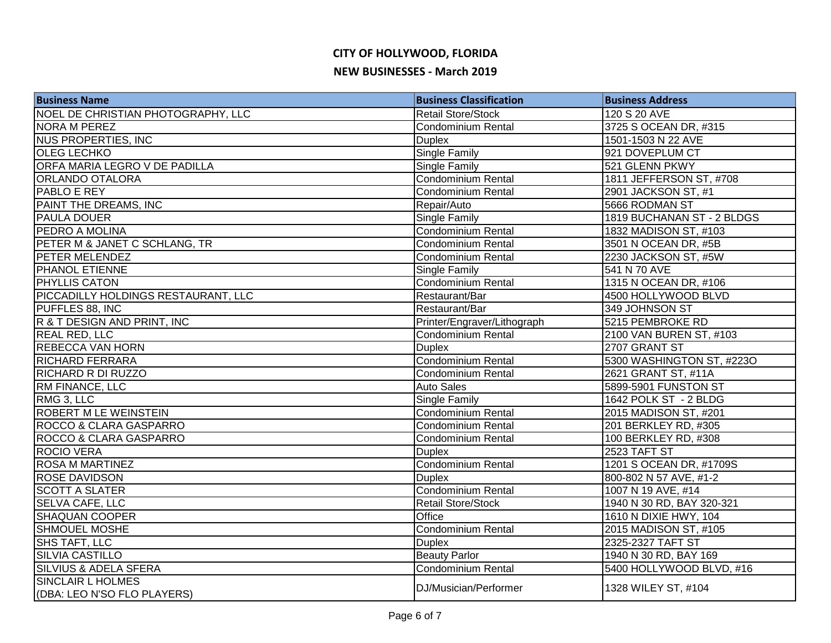| <b>Business Name</b>                | <b>Business Classification</b> | <b>Business Address</b>    |
|-------------------------------------|--------------------------------|----------------------------|
| NOEL DE CHRISTIAN PHOTOGRAPHY, LLC  | <b>Retail Store/Stock</b>      | 120 S 20 AVE               |
| <b>NORA M PEREZ</b>                 | <b>Condominium Rental</b>      | 3725 S OCEAN DR, #315      |
| <b>NUS PROPERTIES, INC</b>          | Duplex                         | 1501-1503 N 22 AVE         |
| <b>OLEG LECHKO</b>                  | <b>Single Family</b>           | 921 DOVEPLUM CT            |
| ORFA MARIA LEGRO V DE PADILLA       | Single Family                  | 521 GLENN PKWY             |
| <b>ORLANDO OTALORA</b>              | Condominium Rental             | 1811 JEFFERSON ST, #708    |
| <b>PABLO E REY</b>                  | Condominium Rental             | 2901 JACKSON ST, #1        |
| PAINT THE DREAMS, INC               | Repair/Auto                    | 5666 RODMAN ST             |
| <b>PAULA DOUER</b>                  | <b>Single Family</b>           | 1819 BUCHANAN ST - 2 BLDGS |
| PEDRO A MOLINA                      | <b>Condominium Rental</b>      | 1832 MADISON ST, #103      |
| PETER M & JANET C SCHLANG, TR       | <b>Condominium Rental</b>      | 3501 N OCEAN DR, #5B       |
| PETER MELENDEZ                      | <b>Condominium Rental</b>      | 2230 JACKSON ST, #5W       |
| <b>PHANOL ETIENNE</b>               | Single Family                  | 541 N 70 AVE               |
| <b>PHYLLIS CATON</b>                | Condominium Rental             | 1315 N OCEAN DR, #106      |
| PICCADILLY HOLDINGS RESTAURANT, LLC | Restaurant/Bar                 | 4500 HOLLYWOOD BLVD        |
| PUFFLES 88, INC                     | Restaurant/Bar                 | 349 JOHNSON ST             |
| R & T DESIGN AND PRINT, INC         | Printer/Engraver/Lithograph    | 5215 PEMBROKE RD           |
| <b>REAL RED, LLC</b>                | Condominium Rental             | 2100 VAN BUREN ST, #103    |
| <b>REBECCA VAN HORN</b>             | <b>Duplex</b>                  | 2707 GRANT ST              |
| <b>RICHARD FERRARA</b>              | Condominium Rental             | 5300 WASHINGTON ST, #223O  |
| RICHARD R DI RUZZO                  | Condominium Rental             | 2621 GRANT ST, #11A        |
| <b>RM FINANCE, LLC</b>              | <b>Auto Sales</b>              | 5899-5901 FUNSTON ST       |
| RMG 3, LLC                          | Single Family                  | 1642 POLK ST - 2 BLDG      |
| ROBERT M LE WEINSTEIN               | <b>Condominium Rental</b>      | 2015 MADISON ST, #201      |
| ROCCO & CLARA GASPARRO              | Condominium Rental             | 201 BERKLEY RD, #305       |
| ROCCO & CLARA GASPARRO              | Condominium Rental             | 100 BERKLEY RD, #308       |
| <b>ROCIO VERA</b>                   | <b>Duplex</b>                  | 2523 TAFT ST               |
| <b>ROSA M MARTINEZ</b>              | Condominium Rental             | 1201 S OCEAN DR, #1709S    |
| <b>ROSE DAVIDSON</b>                | <b>Duplex</b>                  | 800-802 N 57 AVE, #1-2     |
| <b>SCOTT A SLATER</b>               | <b>Condominium Rental</b>      | 1007 N 19 AVE, #14         |
| <b>SELVA CAFE, LLC</b>              | <b>Retail Store/Stock</b>      | 1940 N 30 RD, BAY 320-321  |
| <b>SHAQUAN COOPER</b>               | Office                         | 1610 N DIXIE HWY, 104      |
| <b>SHMOUEL MOSHE</b>                | <b>Condominium Rental</b>      | 2015 MADISON ST, #105      |
| SHS TAFT, LLC                       | <b>Duplex</b>                  | 2325-2327 TAFT ST          |
| <b>SILVIA CASTILLO</b>              | <b>Beauty Parlor</b>           | 1940 N 30 RD, BAY 169      |
| SILVIUS & ADELA SFERA               | Condominium Rental             | 5400 HOLLYWOOD BLVD, #16   |
| <b>SINCLAIR L HOLMES</b>            | DJ/Musician/Performer          | 1328 WILEY ST, #104        |
| (DBA: LEO N'SO FLO PLAYERS)         |                                |                            |